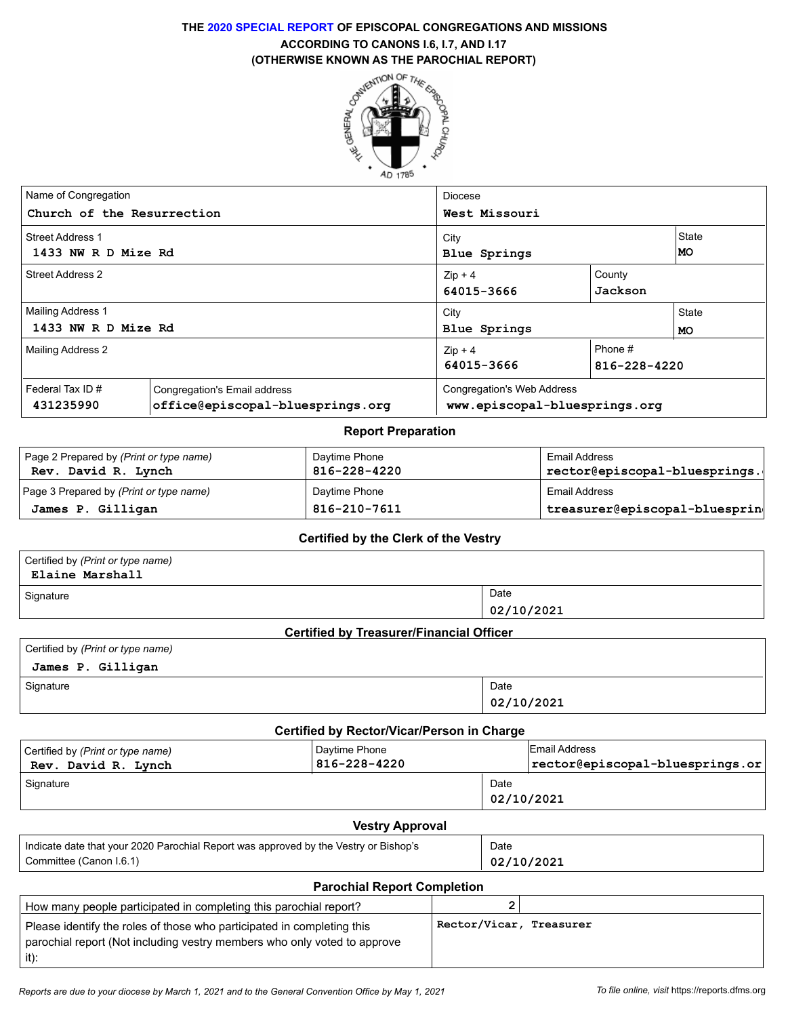# **THE 2020 SPECIAL REPORT OF EPISCOPAL CONGREGATIONS AND MISSIONS ACCORDING TO CANONS I.6, I.7, AND I.17**



| Name of Congregation       |                                  | Diocese                       |         |              |  |  |  |
|----------------------------|----------------------------------|-------------------------------|---------|--------------|--|--|--|
|                            |                                  |                               |         |              |  |  |  |
| Church of the Resurrection |                                  | West Missouri                 |         |              |  |  |  |
| <b>Street Address 1</b>    |                                  | City                          |         | <b>State</b> |  |  |  |
| 1433 NW R D Mize Rd        |                                  | Blue Springs                  |         | MO           |  |  |  |
| <b>Street Address 2</b>    |                                  | $Zip + 4$                     | County  |              |  |  |  |
|                            |                                  | Jackson<br>64015-3666         |         |              |  |  |  |
| <b>Mailing Address 1</b>   |                                  | City                          | State   |              |  |  |  |
| 1433 NW R D Mize Rd        |                                  | Blue Springs<br>MO            |         |              |  |  |  |
| Mailing Address 2          |                                  | $Zip + 4$                     | Phone # |              |  |  |  |
|                            |                                  | 64015-3666<br>816-228-4220    |         |              |  |  |  |
| Federal Tax ID $#$         | Congregation's Email address     | Congregation's Web Address    |         |              |  |  |  |
| 431235990                  | office@episcopal-bluesprings.org | www.episcopal-bluesprings.org |         |              |  |  |  |

#### **Report Preparation**

| Page 2 Prepared by ( <i>Print or type name</i> )<br>Rev. David R. Lynch | Daytime Phone<br>816-228-4220 | Email Address<br>rector@episcopal-bluesprings. |  |
|-------------------------------------------------------------------------|-------------------------------|------------------------------------------------|--|
| Page 3 Prepared by (Print or type name)                                 | Daytime Phone                 | Email Address                                  |  |
| James P. Gilligan                                                       | 816-210-7611                  | treasurer@episcopal-bluesprin                  |  |

#### **Certified by the Clerk of the Vestry**

| Certified by (Print or type name)<br>Elaine Marshall                                 |  |                                                 |                         |                                 |  |  |
|--------------------------------------------------------------------------------------|--|-------------------------------------------------|-------------------------|---------------------------------|--|--|
| Signature                                                                            |  |                                                 | Date                    |                                 |  |  |
|                                                                                      |  |                                                 |                         | 02/10/2021                      |  |  |
|                                                                                      |  | <b>Certified by Treasurer/Financial Officer</b> |                         |                                 |  |  |
| Certified by (Print or type name)                                                    |  |                                                 |                         |                                 |  |  |
| James P. Gilligan                                                                    |  |                                                 |                         |                                 |  |  |
| Signature                                                                            |  |                                                 | Date                    |                                 |  |  |
|                                                                                      |  |                                                 |                         | 02/10/2021                      |  |  |
|                                                                                      |  | Certified by Rector/Vicar/Person in Charge      |                         |                                 |  |  |
| Certified by (Print or type name)                                                    |  | Daytime Phone                                   |                         | <b>Email Address</b>            |  |  |
| Rev. David R. Lynch                                                                  |  | 816-228-4220                                    |                         | rector@episcopal-bluesprings.or |  |  |
| Signature                                                                            |  |                                                 | Date                    |                                 |  |  |
|                                                                                      |  |                                                 | 02/10/2021              |                                 |  |  |
|                                                                                      |  | <b>Vestry Approval</b>                          |                         |                                 |  |  |
| Indicate date that your 2020 Parochial Report was approved by the Vestry or Bishop's |  |                                                 | Date                    |                                 |  |  |
| Committee (Canon I.6.1)                                                              |  |                                                 |                         | 02/10/2021                      |  |  |
|                                                                                      |  | <b>Parochial Report Completion</b>              |                         |                                 |  |  |
| How many people participated in completing this parochial report?                    |  |                                                 | $\overline{2}$          |                                 |  |  |
| Please identify the roles of those who participated in completing this               |  |                                                 | Rector/Vicar, Treasurer |                                 |  |  |
| parochial report (Not including vestry members who only voted to approve             |  |                                                 |                         |                                 |  |  |
| $it)$ :                                                                              |  |                                                 |                         |                                 |  |  |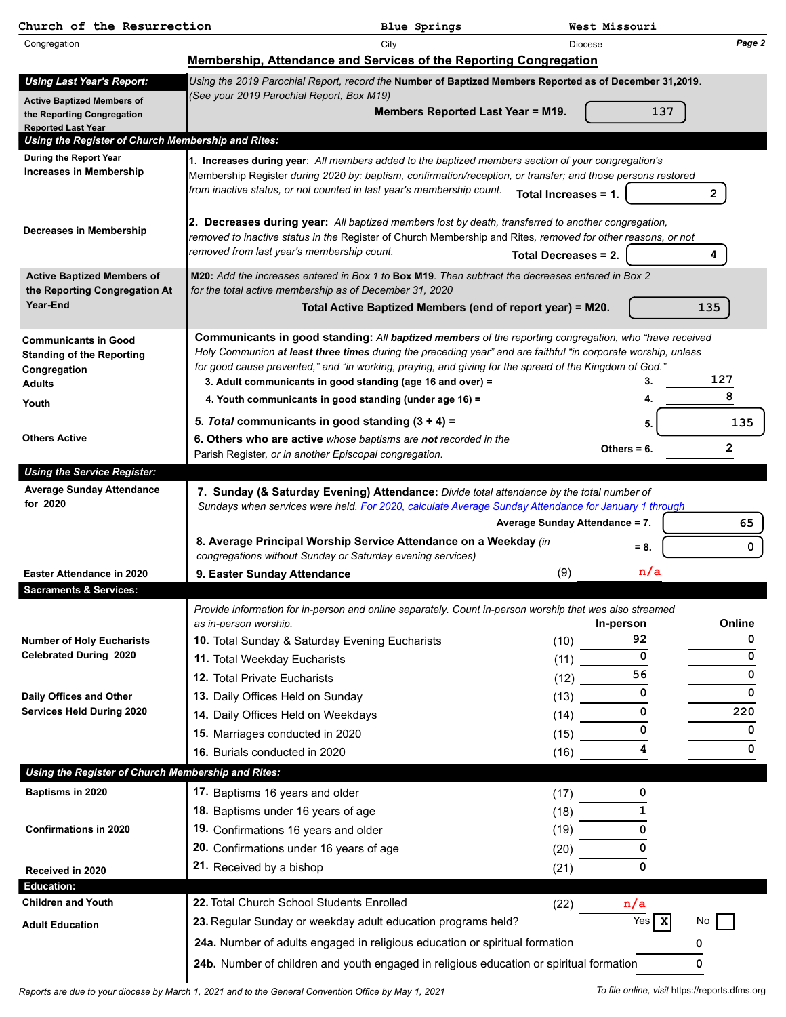| Church of the Resurrection                               |                                                                                                                                                                                                                         | Blue Springs                                            |                             | West Missouri   |              |  |  |  |  |  |
|----------------------------------------------------------|-------------------------------------------------------------------------------------------------------------------------------------------------------------------------------------------------------------------------|---------------------------------------------------------|-----------------------------|-----------------|--------------|--|--|--|--|--|
| Congregation                                             |                                                                                                                                                                                                                         | City                                                    | Diocese                     |                 | Page 2       |  |  |  |  |  |
|                                                          | Membership, Attendance and Services of the Reporting Congregation                                                                                                                                                       |                                                         |                             |                 |              |  |  |  |  |  |
| <b>Using Last Year's Report:</b>                         | Using the 2019 Parochial Report, record the Number of Baptized Members Reported as of December 31,2019.                                                                                                                 |                                                         |                             |                 |              |  |  |  |  |  |
| <b>Active Baptized Members of</b>                        | (See your 2019 Parochial Report, Box M19)                                                                                                                                                                               | <b>Members Reported Last Year = M19.</b>                |                             | 137             |              |  |  |  |  |  |
| the Reporting Congregation<br><b>Reported Last Year</b>  |                                                                                                                                                                                                                         |                                                         |                             |                 |              |  |  |  |  |  |
| Using the Register of Church Membership and Rites:       |                                                                                                                                                                                                                         |                                                         |                             |                 |              |  |  |  |  |  |
| During the Report Year<br><b>Increases in Membership</b> | 1. Increases during year: All members added to the baptized members section of your congregation's                                                                                                                      |                                                         |                             |                 |              |  |  |  |  |  |
|                                                          | Membership Register during 2020 by: baptism, confirmation/reception, or transfer; and those persons restored<br>from inactive status, or not counted in last year's membership count.                                   |                                                         |                             |                 |              |  |  |  |  |  |
|                                                          |                                                                                                                                                                                                                         |                                                         | Total Increases = 1.        |                 | $\mathbf{2}$ |  |  |  |  |  |
| Decreases in Membership                                  | 2. Decreases during year: All baptized members lost by death, transferred to another congregation,                                                                                                                      |                                                         |                             |                 |              |  |  |  |  |  |
|                                                          | removed to inactive status in the Register of Church Membership and Rites, removed for other reasons, or not                                                                                                            |                                                         |                             |                 |              |  |  |  |  |  |
|                                                          | removed from last year's membership count.                                                                                                                                                                              |                                                         | <b>Total Decreases = 2.</b> |                 | 4            |  |  |  |  |  |
| <b>Active Baptized Members of</b>                        | M20: Add the increases entered in Box 1 to Box M19. Then subtract the decreases entered in Box 2                                                                                                                        |                                                         |                             |                 |              |  |  |  |  |  |
| the Reporting Congregation At<br>Year-End                |                                                                                                                                                                                                                         | for the total active membership as of December 31, 2020 |                             |                 |              |  |  |  |  |  |
|                                                          | Total Active Baptized Members (end of report year) = M20.<br>135                                                                                                                                                        |                                                         |                             |                 |              |  |  |  |  |  |
| <b>Communicants in Good</b>                              | Communicants in good standing: All baptized members of the reporting congregation, who "have received                                                                                                                   |                                                         |                             |                 |              |  |  |  |  |  |
| <b>Standing of the Reporting</b>                         | Holy Communion at least three times during the preceding year" and are faithful "in corporate worship, unless<br>for good cause prevented," and "in working, praying, and giving for the spread of the Kingdom of God." |                                                         |                             |                 |              |  |  |  |  |  |
| Congregation<br>Adults                                   | 3. Adult communicants in good standing (age 16 and over) =                                                                                                                                                              |                                                         |                             |                 | 127          |  |  |  |  |  |
| Youth                                                    | 4. Youth communicants in good standing (under age 16) =                                                                                                                                                                 |                                                         |                             |                 | 8            |  |  |  |  |  |
|                                                          | 5. Total communicants in good standing $(3 + 4) =$                                                                                                                                                                      |                                                         |                             | 5.              | 135          |  |  |  |  |  |
| <b>Others Active</b>                                     | 6. Others who are active whose baptisms are not recorded in the                                                                                                                                                         |                                                         |                             |                 |              |  |  |  |  |  |
|                                                          | Parish Register, or in another Episcopal congregation.                                                                                                                                                                  |                                                         |                             | Others $= 6$ .  | 2            |  |  |  |  |  |
| <b>Using the Service Register:</b>                       |                                                                                                                                                                                                                         |                                                         |                             |                 |              |  |  |  |  |  |
| <b>Average Sunday Attendance</b><br>for 2020             | 7. Sunday (& Saturday Evening) Attendance: Divide total attendance by the total number of                                                                                                                               |                                                         |                             |                 |              |  |  |  |  |  |
|                                                          | Sundays when services were held. For 2020, calculate Average Sunday Attendance for January 1 through<br>Average Sunday Attendance = 7.<br>65                                                                            |                                                         |                             |                 |              |  |  |  |  |  |
|                                                          | 8. Average Principal Worship Service Attendance on a Weekday (in                                                                                                                                                        |                                                         |                             |                 |              |  |  |  |  |  |
|                                                          | congregations without Sunday or Saturday evening services)                                                                                                                                                              |                                                         |                             | $= 8.$          | 0            |  |  |  |  |  |
| Easter Attendance in 2020                                | 9. Easter Sunday Attendance                                                                                                                                                                                             |                                                         | (9)                         | n/a             |              |  |  |  |  |  |
| <b>Sacraments &amp; Services:</b>                        |                                                                                                                                                                                                                         |                                                         |                             |                 |              |  |  |  |  |  |
|                                                          | Provide information for in-person and online separately. Count in-person worship that was also streamed                                                                                                                 |                                                         |                             |                 |              |  |  |  |  |  |
| <b>Number of Holy Eucharists</b>                         | as in-person worship.<br>10. Total Sunday & Saturday Evening Eucharists                                                                                                                                                 |                                                         | (10)                        | In-person<br>92 | Online<br>0  |  |  |  |  |  |
| <b>Celebrated During 2020</b>                            | 11. Total Weekday Eucharists                                                                                                                                                                                            |                                                         | (11)                        | $\Omega$        | 0            |  |  |  |  |  |
|                                                          | 12. Total Private Eucharists                                                                                                                                                                                            |                                                         | (12)                        | 56              | 0            |  |  |  |  |  |
| Daily Offices and Other                                  | 13. Daily Offices Held on Sunday                                                                                                                                                                                        |                                                         | (13)                        | 0               | 0            |  |  |  |  |  |
| <b>Services Held During 2020</b>                         | 14. Daily Offices Held on Weekdays                                                                                                                                                                                      |                                                         | (14)                        | $\mathbf 0$     | 220          |  |  |  |  |  |
|                                                          | 15. Marriages conducted in 2020                                                                                                                                                                                         |                                                         | (15)                        | 0               | 0            |  |  |  |  |  |
|                                                          | 16. Burials conducted in 2020                                                                                                                                                                                           |                                                         | (16)                        | 4               | 0            |  |  |  |  |  |
| Using the Register of Church Membership and Rites:       |                                                                                                                                                                                                                         |                                                         |                             |                 |              |  |  |  |  |  |
| Baptisms in 2020                                         | 17. Baptisms 16 years and older                                                                                                                                                                                         |                                                         | (17)                        | 0               |              |  |  |  |  |  |
|                                                          | 18. Baptisms under 16 years of age                                                                                                                                                                                      |                                                         | (18)                        | 1               |              |  |  |  |  |  |
| <b>Confirmations in 2020</b>                             | 19. Confirmations 16 years and older                                                                                                                                                                                    |                                                         | (19)                        | 0               |              |  |  |  |  |  |
|                                                          | 20. Confirmations under 16 years of age                                                                                                                                                                                 |                                                         | (20)                        | 0               |              |  |  |  |  |  |
| Received in 2020                                         | 21. Received by a bishop                                                                                                                                                                                                |                                                         | (21)                        | 0               |              |  |  |  |  |  |
| <b>Education:</b>                                        |                                                                                                                                                                                                                         |                                                         |                             |                 |              |  |  |  |  |  |
| <b>Children and Youth</b>                                | 22. Total Church School Students Enrolled                                                                                                                                                                               |                                                         | (22)                        | n/a             |              |  |  |  |  |  |
| <b>Adult Education</b>                                   | 23. Regular Sunday or weekday adult education programs held?                                                                                                                                                            |                                                         |                             | Yes $x$         | No           |  |  |  |  |  |
|                                                          | 24a. Number of adults engaged in religious education or spiritual formation                                                                                                                                             |                                                         |                             |                 | 0            |  |  |  |  |  |
|                                                          | 24b. Number of children and youth engaged in religious education or spiritual formation                                                                                                                                 |                                                         |                             |                 | 0            |  |  |  |  |  |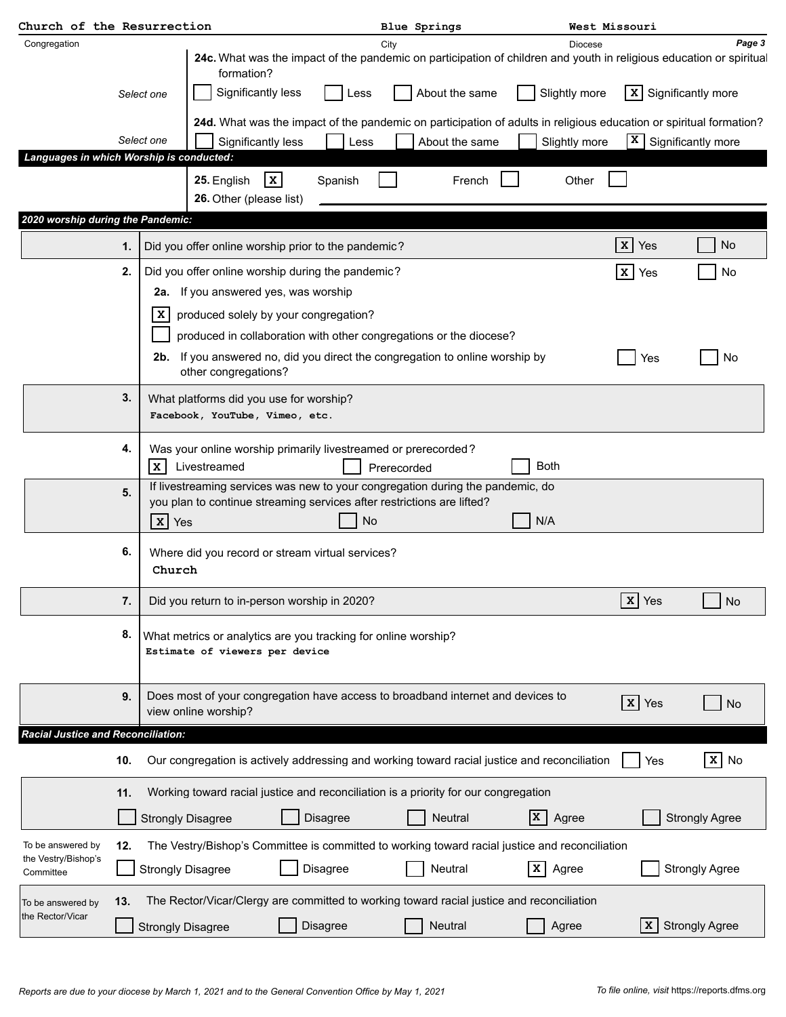| Church of the Resurrection                                                    |     |                          |                                                                                                                                                                                                          |                 |          |      |             | <b>Blue Springs</b> |     | West Missouri                                                                                  |                 |                          |                                                                                                                               |
|-------------------------------------------------------------------------------|-----|--------------------------|----------------------------------------------------------------------------------------------------------------------------------------------------------------------------------------------------------|-----------------|----------|------|-------------|---------------------|-----|------------------------------------------------------------------------------------------------|-----------------|--------------------------|-------------------------------------------------------------------------------------------------------------------------------|
| Congregation                                                                  |     |                          | formation?                                                                                                                                                                                               |                 |          |      | City        |                     |     | <b>Diocese</b>                                                                                 |                 |                          | Page 3<br>24c. What was the impact of the pandemic on participation of children and youth in religious education or spiritual |
|                                                                               |     | Select one               | Significantly less                                                                                                                                                                                       |                 |          | Less |             | About the same      |     | Slightly more                                                                                  | x               |                          | Significantly more                                                                                                            |
|                                                                               |     |                          |                                                                                                                                                                                                          |                 |          |      |             |                     |     |                                                                                                |                 |                          | 24d. What was the impact of the pandemic on participation of adults in religious education or spiritual formation?            |
|                                                                               |     | Select one               | Significantly less                                                                                                                                                                                       |                 |          | Less |             | About the same      |     | Slightly more                                                                                  | X               |                          | Significantly more                                                                                                            |
| Languages in which Worship is conducted:<br>2020 worship during the Pandemic: |     |                          | 25. English<br>26. Other (please list)                                                                                                                                                                   | $\vert x \vert$ | Spanish  |      |             | French              |     | Other                                                                                          |                 |                          |                                                                                                                               |
|                                                                               |     |                          |                                                                                                                                                                                                          |                 |          |      |             |                     |     |                                                                                                | $\mathbf{x}$    | Yes                      | No                                                                                                                            |
|                                                                               | 1.  |                          | Did you offer online worship prior to the pandemic?                                                                                                                                                      |                 |          |      |             |                     |     |                                                                                                |                 |                          |                                                                                                                               |
|                                                                               | 2.  | X.                       | Did you offer online worship during the pandemic?<br>2a. If you answered yes, was worship<br>produced solely by your congregation?<br>produced in collaboration with other congregations or the diocese? |                 |          |      |             |                     |     |                                                                                                | $\vert x \vert$ | Yes                      | No                                                                                                                            |
|                                                                               |     |                          | 2b. If you answered no, did you direct the congregation to online worship by<br>other congregations?                                                                                                     |                 |          |      |             |                     |     |                                                                                                |                 | Yes                      | No                                                                                                                            |
|                                                                               | 3.  |                          | What platforms did you use for worship?<br>Facebook, YouTube, Vimeo, etc.                                                                                                                                |                 |          |      |             |                     |     |                                                                                                |                 |                          |                                                                                                                               |
|                                                                               | 4.  | $\mathbf{x}$             | Was your online worship primarily livestreamed or prerecorded?<br>Livestreamed                                                                                                                           |                 |          |      | Prerecorded |                     |     | <b>Both</b>                                                                                    |                 |                          |                                                                                                                               |
|                                                                               | 5.  | $x$ Yes                  | If livestreaming services was new to your congregation during the pandemic, do<br>you plan to continue streaming services after restrictions are lifted?                                                 |                 |          | No   |             |                     |     | N/A                                                                                            |                 |                          |                                                                                                                               |
|                                                                               | 6.  | Church                   | Where did you record or stream virtual services?                                                                                                                                                         |                 |          |      |             |                     |     |                                                                                                |                 |                          |                                                                                                                               |
|                                                                               | 7.  |                          | Did you return to in-person worship in 2020?                                                                                                                                                             |                 |          |      |             |                     |     |                                                                                                |                 | $\boxed{\mathbf{x}}$ Yes | No                                                                                                                            |
|                                                                               | 8.  |                          | What metrics or analytics are you tracking for online worship?<br>Estimate of viewers per device                                                                                                         |                 |          |      |             |                     |     |                                                                                                |                 |                          |                                                                                                                               |
|                                                                               | 9.  |                          | Does most of your congregation have access to broadband internet and devices to<br>view online worship?                                                                                                  |                 |          |      |             |                     |     |                                                                                                |                 | $x$ Yes                  | No                                                                                                                            |
| <b>Racial Justice and Reconciliation:</b>                                     |     |                          |                                                                                                                                                                                                          |                 |          |      |             |                     |     |                                                                                                |                 |                          |                                                                                                                               |
|                                                                               | 10. |                          |                                                                                                                                                                                                          |                 |          |      |             |                     |     | Our congregation is actively addressing and working toward racial justice and reconciliation   |                 | Yes                      | $x \mid$ No                                                                                                                   |
|                                                                               | 11. |                          | Working toward racial justice and reconciliation is a priority for our congregation                                                                                                                      |                 |          |      |             |                     |     |                                                                                                |                 |                          |                                                                                                                               |
|                                                                               |     | <b>Strongly Disagree</b> |                                                                                                                                                                                                          |                 | Disagree |      |             | <b>Neutral</b>      | lx. | Agree                                                                                          |                 |                          | <b>Strongly Agree</b>                                                                                                         |
| To be answered by<br>the Vestry/Bishop's                                      | 12. |                          |                                                                                                                                                                                                          |                 |          |      |             |                     |     | The Vestry/Bishop's Committee is committed to working toward racial justice and reconciliation |                 |                          |                                                                                                                               |
| Committee                                                                     |     | <b>Strongly Disagree</b> |                                                                                                                                                                                                          |                 | Disagree |      |             | Neutral             |     | $\mathbf{x}$<br>Agree                                                                          |                 |                          | <b>Strongly Agree</b>                                                                                                         |
| To be answered by                                                             | 13. |                          |                                                                                                                                                                                                          |                 |          |      |             |                     |     | The Rector/Vicar/Clergy are committed to working toward racial justice and reconciliation      |                 |                          |                                                                                                                               |
| the Rector/Vicar                                                              |     | <b>Strongly Disagree</b> |                                                                                                                                                                                                          |                 | Disagree |      |             | Neutral             |     | Agree                                                                                          |                 |                          | X Strongly Agree                                                                                                              |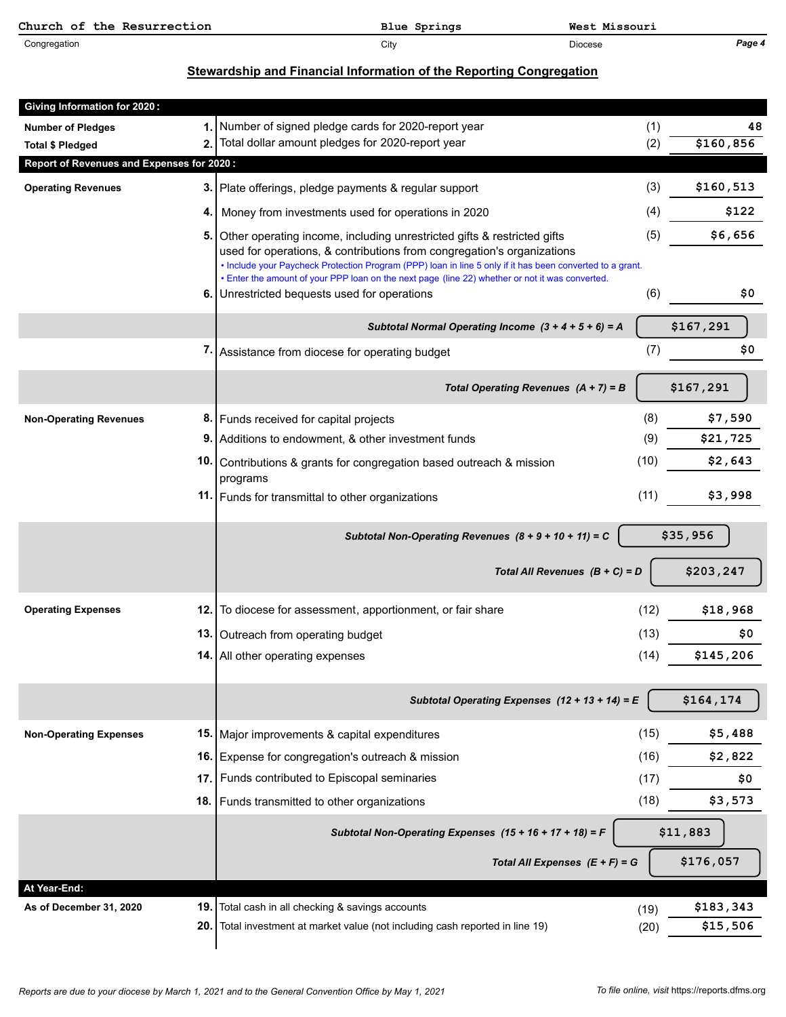| Church of the Resurrection | Blue Springs | West Missouri |        |
|----------------------------|--------------|---------------|--------|
| Congregation               | City         | Diocese       | Page 4 |

## **Stewardship and Financial Information of the Reporting Congregation**

| <b>Giving Information for 2020:</b>       |            |                                                                                                                                                                                                                                                                                                                                                                                                                |              |                       |
|-------------------------------------------|------------|----------------------------------------------------------------------------------------------------------------------------------------------------------------------------------------------------------------------------------------------------------------------------------------------------------------------------------------------------------------------------------------------------------------|--------------|-----------------------|
| <b>Number of Pledges</b>                  | 1.         | Number of signed pledge cards for 2020-report year                                                                                                                                                                                                                                                                                                                                                             | (1)          | 48                    |
| <b>Total \$ Pledged</b>                   | 2.         | Total dollar amount pledges for 2020-report year                                                                                                                                                                                                                                                                                                                                                               | (2)          | \$160,856             |
| Report of Revenues and Expenses for 2020: |            |                                                                                                                                                                                                                                                                                                                                                                                                                |              |                       |
| <b>Operating Revenues</b>                 | 3.         | Plate offerings, pledge payments & regular support                                                                                                                                                                                                                                                                                                                                                             | (3)          | \$160,513             |
|                                           | 4.         | Money from investments used for operations in 2020                                                                                                                                                                                                                                                                                                                                                             | (4)          | \$122                 |
|                                           | 5.<br>6.   | Other operating income, including unrestricted gifts & restricted gifts<br>used for operations, & contributions from congregation's organizations<br>. Include your Paycheck Protection Program (PPP) loan in line 5 only if it has been converted to a grant.<br>• Enter the amount of your PPP loan on the next page (line 22) whether or not it was converted.<br>Unrestricted bequests used for operations | (5)<br>(6)   | \$6,656<br>\$0        |
|                                           |            |                                                                                                                                                                                                                                                                                                                                                                                                                |              |                       |
|                                           |            | Subtotal Normal Operating Income $(3 + 4 + 5 + 6) = A$                                                                                                                                                                                                                                                                                                                                                         |              | \$167,291             |
|                                           | 7.         | Assistance from diocese for operating budget                                                                                                                                                                                                                                                                                                                                                                   | (7)          | \$0                   |
|                                           |            | Total Operating Revenues $(A + 7) = B$                                                                                                                                                                                                                                                                                                                                                                         |              | \$167,291             |
| <b>Non-Operating Revenues</b>             | 8.         | Funds received for capital projects                                                                                                                                                                                                                                                                                                                                                                            | (8)          | \$7,590               |
|                                           | 9.         | Additions to endowment, & other investment funds                                                                                                                                                                                                                                                                                                                                                               | (9)          | \$21,725              |
|                                           | 10.        | Contributions & grants for congregation based outreach & mission<br>programs                                                                                                                                                                                                                                                                                                                                   | (10)         | \$2,643               |
|                                           |            | 11. Funds for transmittal to other organizations                                                                                                                                                                                                                                                                                                                                                               | (11)         | \$3,998               |
|                                           |            |                                                                                                                                                                                                                                                                                                                                                                                                                |              |                       |
|                                           |            | Subtotal Non-Operating Revenues $(8 + 9 + 10 + 11) = C$                                                                                                                                                                                                                                                                                                                                                        |              | \$35,956              |
|                                           |            | Total All Revenues $(B + C) = D$                                                                                                                                                                                                                                                                                                                                                                               |              | \$203,247             |
| <b>Operating Expenses</b>                 | 12.        | To diocese for assessment, apportionment, or fair share                                                                                                                                                                                                                                                                                                                                                        | (12)         | \$18,968              |
|                                           | 13.        | Outreach from operating budget                                                                                                                                                                                                                                                                                                                                                                                 | (13)         | \$0                   |
|                                           | 14.        | All other operating expenses                                                                                                                                                                                                                                                                                                                                                                                   | (14)         | \$145,206             |
|                                           |            | Subtotal Operating Expenses $(12 + 13 + 14) = E$                                                                                                                                                                                                                                                                                                                                                               |              | \$164,174             |
| <b>Non-Operating Expenses</b>             | 15.        | Major improvements & capital expenditures                                                                                                                                                                                                                                                                                                                                                                      | (15)         | \$5,488               |
|                                           | 16.        | Expense for congregation's outreach & mission                                                                                                                                                                                                                                                                                                                                                                  | (16)         | \$2,822               |
|                                           | 17.        | Funds contributed to Episcopal seminaries                                                                                                                                                                                                                                                                                                                                                                      | (17)         | \$0                   |
|                                           | 18.        | Funds transmitted to other organizations                                                                                                                                                                                                                                                                                                                                                                       | (18)         | \$3,573               |
|                                           |            | Subtotal Non-Operating Expenses (15 + 16 + 17 + 18) = F                                                                                                                                                                                                                                                                                                                                                        |              | \$11,883              |
|                                           |            | Total All Expenses $(E + F) = G$                                                                                                                                                                                                                                                                                                                                                                               |              | \$176,057             |
| At Year-End:                              |            |                                                                                                                                                                                                                                                                                                                                                                                                                |              |                       |
| As of December 31, 2020                   | 19.<br>20. | Total cash in all checking & savings accounts<br>Total investment at market value (not including cash reported in line 19)                                                                                                                                                                                                                                                                                     | (19)<br>(20) | \$183,343<br>\$15,506 |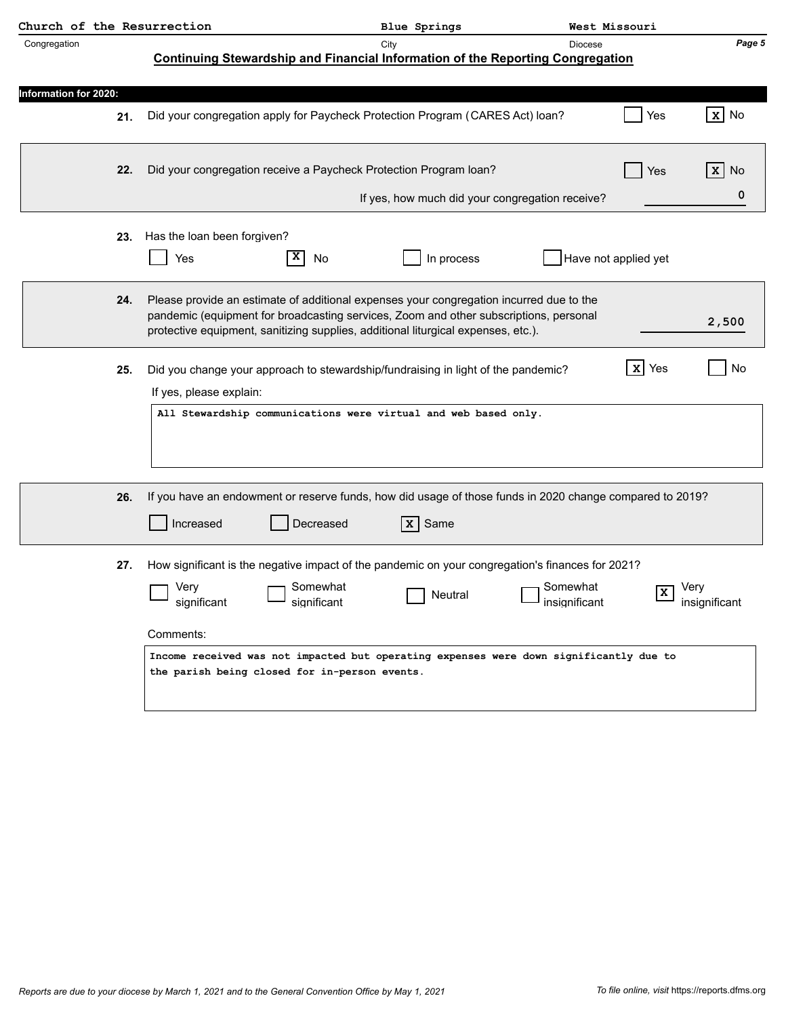| Church of the Resurrection   |     |                                                                                                                                                                                                                                                                       |           | Blue Springs                 | West Missouri                                   |                         |                       |
|------------------------------|-----|-----------------------------------------------------------------------------------------------------------------------------------------------------------------------------------------------------------------------------------------------------------------------|-----------|------------------------------|-------------------------------------------------|-------------------------|-----------------------|
| Congregation                 |     | <b>Continuing Stewardship and Financial Information of the Reporting Congregation</b>                                                                                                                                                                                 | City      |                              | <b>Diocese</b>                                  |                         | Page 5                |
|                              |     |                                                                                                                                                                                                                                                                       |           |                              |                                                 |                         |                       |
| <b>Information for 2020:</b> |     |                                                                                                                                                                                                                                                                       |           |                              |                                                 |                         |                       |
|                              | 21. | Did your congregation apply for Paycheck Protection Program (CARES Act) loan?                                                                                                                                                                                         |           |                              |                                                 | Yes                     | $x$ No                |
|                              | 22. | Did your congregation receive a Paycheck Protection Program loan?                                                                                                                                                                                                     |           |                              |                                                 | Yes                     | x <sub>1</sub><br>No. |
|                              |     |                                                                                                                                                                                                                                                                       |           |                              | If yes, how much did your congregation receive? |                         | 0                     |
|                              | 23. | Has the loan been forgiven?                                                                                                                                                                                                                                           |           |                              |                                                 |                         |                       |
|                              |     | Yes                                                                                                                                                                                                                                                                   | No        | In process                   |                                                 | Have not applied yet    |                       |
|                              | 24. | Please provide an estimate of additional expenses your congregation incurred due to the<br>pandemic (equipment for broadcasting services, Zoom and other subscriptions, personal<br>protective equipment, sanitizing supplies, additional liturgical expenses, etc.). |           |                              |                                                 |                         | 2,500                 |
|                              | 25. | Did you change your approach to stewardship/fundraising in light of the pandemic?<br>If yes, please explain:                                                                                                                                                          |           |                              |                                                 | <b>x</b> Yes            | No                    |
|                              |     | All Stewardship communications were virtual and web based only.                                                                                                                                                                                                       |           |                              |                                                 |                         |                       |
|                              |     |                                                                                                                                                                                                                                                                       |           |                              |                                                 |                         |                       |
|                              | 26. | If you have an endowment or reserve funds, how did usage of those funds in 2020 change compared to 2019?<br>Increased                                                                                                                                                 | Decreased | $\overline{\mathbf{x}}$ Same |                                                 |                         |                       |
|                              | 27. | How significant is the negative impact of the pandemic on your congregation's finances for 2021?                                                                                                                                                                      |           |                              |                                                 |                         |                       |
|                              |     | Very<br>significant<br>significant                                                                                                                                                                                                                                    | Somewhat  | $\Box$ Neutral               | ı Somewhat<br>insignificant                     | $\overline{\mathbf{x}}$ | Very<br>insignificant |
|                              |     | Comments:                                                                                                                                                                                                                                                             |           |                              |                                                 |                         |                       |
|                              |     | Income received was not impacted but operating expenses were down significantly due to<br>the parish being closed for in-person events.                                                                                                                               |           |                              |                                                 |                         |                       |
|                              |     |                                                                                                                                                                                                                                                                       |           |                              |                                                 |                         |                       |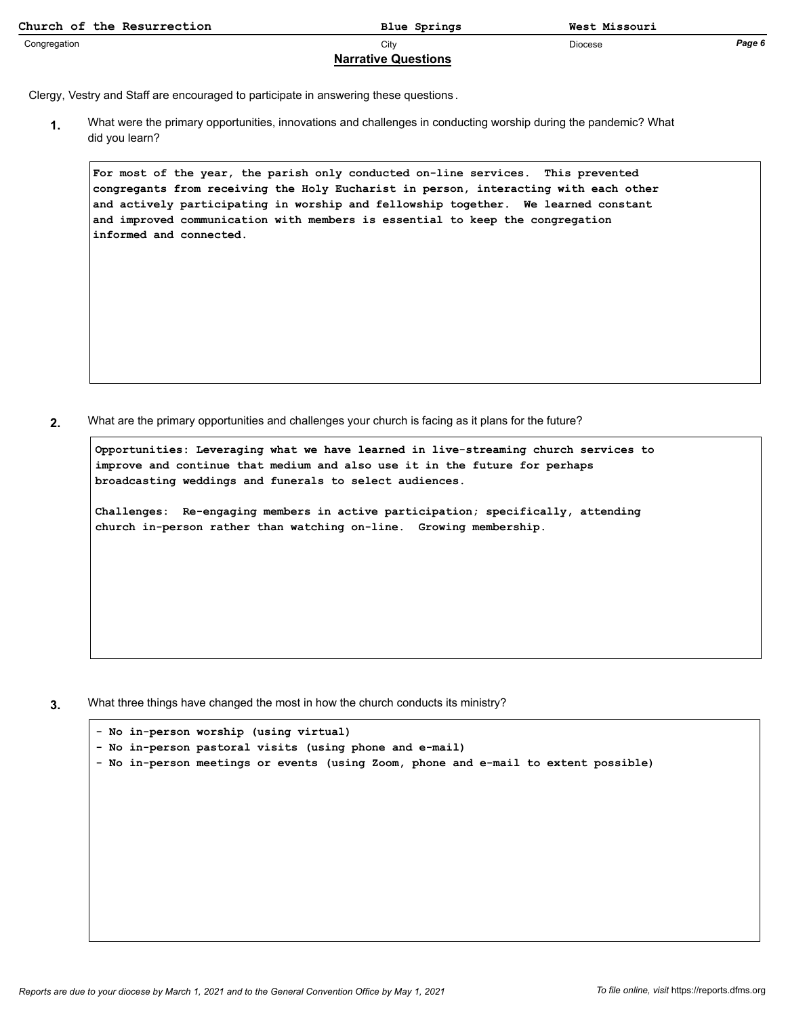| Church of the Resurrection | Blue Springs | West Missouri |        |  |  |  |
|----------------------------|--------------|---------------|--------|--|--|--|
| Congregation               | City         | Diocese       | Page 6 |  |  |  |
| <b>Narrative Questions</b> |              |               |        |  |  |  |

Clergy, Vestry and Staff are encouraged to participate in answering these questions .

What were the primary opportunities, innovations and challenges in conducting worship during the pandemic? What did you learn? **1.**

**For most of the year, the parish only conducted on-line services. This prevented congregants from receiving the Holy Eucharist in person, interacting with each other and actively participating in worship and fellowship together. We learned constant and improved communication with members is essential to keep the congregation informed and connected.**

**2.** What are the primary opportunities and challenges your church is facing as it plans for the future?

**Opportunities: Leveraging what we have learned in live-streaming church services to improve and continue that medium and also use it in the future for perhaps broadcasting weddings and funerals to select audiences.**

**Challenges: Re-engaging members in active participation; specifically, attending church in-person rather than watching on-line. Growing membership.**

**3.** What three things have changed the most in how the church conducts its ministry?

|                                                         | - No in-person worship (using virtual)                                              |  |  |  |  |  |  |  |  |  |  |
|---------------------------------------------------------|-------------------------------------------------------------------------------------|--|--|--|--|--|--|--|--|--|--|
| - No in-person pastoral visits (using phone and e-mail) |                                                                                     |  |  |  |  |  |  |  |  |  |  |
|                                                         | - No in-person meetings or events (using Zoom, phone and e-mail to extent possible) |  |  |  |  |  |  |  |  |  |  |
|                                                         |                                                                                     |  |  |  |  |  |  |  |  |  |  |
|                                                         |                                                                                     |  |  |  |  |  |  |  |  |  |  |
|                                                         |                                                                                     |  |  |  |  |  |  |  |  |  |  |
|                                                         |                                                                                     |  |  |  |  |  |  |  |  |  |  |
|                                                         |                                                                                     |  |  |  |  |  |  |  |  |  |  |
|                                                         |                                                                                     |  |  |  |  |  |  |  |  |  |  |
|                                                         |                                                                                     |  |  |  |  |  |  |  |  |  |  |
|                                                         |                                                                                     |  |  |  |  |  |  |  |  |  |  |
|                                                         |                                                                                     |  |  |  |  |  |  |  |  |  |  |
|                                                         |                                                                                     |  |  |  |  |  |  |  |  |  |  |
|                                                         |                                                                                     |  |  |  |  |  |  |  |  |  |  |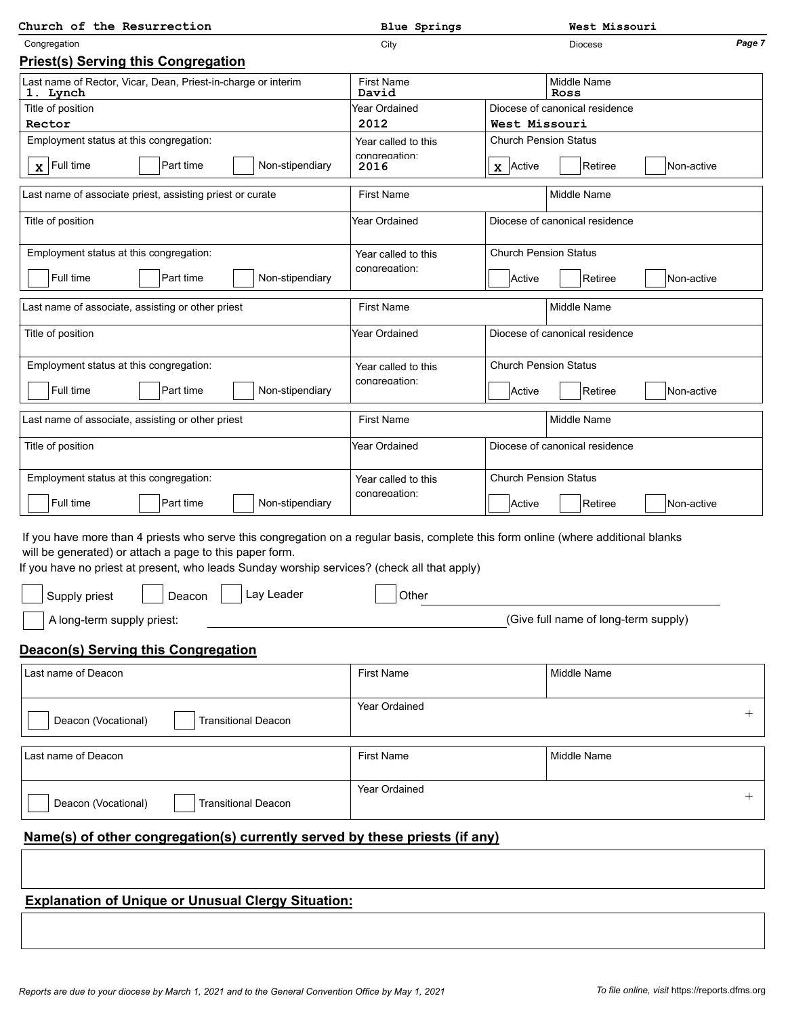| Church of the Resurrection                                                                                                                                                                                                                                                                                                                                                   | <b>Blue Springs</b>        | West Missouri                               |
|------------------------------------------------------------------------------------------------------------------------------------------------------------------------------------------------------------------------------------------------------------------------------------------------------------------------------------------------------------------------------|----------------------------|---------------------------------------------|
| Congregation                                                                                                                                                                                                                                                                                                                                                                 | City                       | Page 7<br><b>Diocese</b>                    |
| <b>Priest(s) Serving this Congregation</b>                                                                                                                                                                                                                                                                                                                                   |                            |                                             |
| Last name of Rector, Vicar, Dean, Priest-in-charge or interim<br>1. Lynch                                                                                                                                                                                                                                                                                                    | <b>First Name</b><br>David | <b>Middle Name</b><br>Ross                  |
| Title of position                                                                                                                                                                                                                                                                                                                                                            | Year Ordained              | Diocese of canonical residence              |
| Rector                                                                                                                                                                                                                                                                                                                                                                       | 2012                       | West Missouri                               |
| Employment status at this congregation:                                                                                                                                                                                                                                                                                                                                      | Year called to this        | <b>Church Pension Status</b>                |
| $\mathbf{x}$ Full time<br>Part time<br>Non-stipendiary                                                                                                                                                                                                                                                                                                                       | congregation:<br>2016      | Retiree<br>Non-active<br>$\mathbf x$ Active |
| Last name of associate priest, assisting priest or curate                                                                                                                                                                                                                                                                                                                    | <b>First Name</b>          | Middle Name                                 |
| Title of position                                                                                                                                                                                                                                                                                                                                                            | Year Ordained              | Diocese of canonical residence              |
| Employment status at this congregation:                                                                                                                                                                                                                                                                                                                                      | Year called to this        | <b>Church Pension Status</b>                |
| Full time<br>Part time<br>Non-stipendiary                                                                                                                                                                                                                                                                                                                                    | congregation:              | Retiree<br>Active<br>Non-active             |
| Last name of associate, assisting or other priest                                                                                                                                                                                                                                                                                                                            | <b>First Name</b>          | <b>Middle Name</b>                          |
| Title of position                                                                                                                                                                                                                                                                                                                                                            | Year Ordained              | Diocese of canonical residence              |
| Employment status at this congregation:                                                                                                                                                                                                                                                                                                                                      | Year called to this        | <b>Church Pension Status</b>                |
|                                                                                                                                                                                                                                                                                                                                                                              | congregation:              |                                             |
| Full time<br>Part time<br>Non-stipendiary                                                                                                                                                                                                                                                                                                                                    |                            | Active<br>Retiree<br>Non-active             |
| Last name of associate, assisting or other priest                                                                                                                                                                                                                                                                                                                            | <b>First Name</b>          | <b>Middle Name</b>                          |
| Title of position                                                                                                                                                                                                                                                                                                                                                            | Year Ordained              | Diocese of canonical residence              |
| Employment status at this congregation:                                                                                                                                                                                                                                                                                                                                      | Year called to this        | <b>Church Pension Status</b>                |
| Full time<br>Part time<br>Non-stipendiary                                                                                                                                                                                                                                                                                                                                    | congregation:              | Retiree<br>Non-active<br>Active             |
| If you have more than 4 priests who serve this congregation on a regular basis, complete this form online (where additional blanks<br>will be generated) or attach a page to this paper form.<br>If you have no priest at present, who leads Sunday worship services? (check all that apply)<br>│ │ Supply priest   │ │ Deacon  │ │ Lay Leader<br>A long-term supply priest: | $\bigcup$ Other            | (Give full name of long-term supply)        |
|                                                                                                                                                                                                                                                                                                                                                                              |                            |                                             |
| <b>Deacon(s) Serving this Congregation</b>                                                                                                                                                                                                                                                                                                                                   |                            |                                             |
| Last name of Deacon                                                                                                                                                                                                                                                                                                                                                          | <b>First Name</b>          | <b>Middle Name</b>                          |
| Deacon (Vocational)<br><b>Transitional Deacon</b>                                                                                                                                                                                                                                                                                                                            | <b>Year Ordained</b>       | $^{+}$                                      |
| Last name of Deacon                                                                                                                                                                                                                                                                                                                                                          | <b>First Name</b>          | Middle Name                                 |
| Deacon (Vocational)<br><b>Transitional Deacon</b>                                                                                                                                                                                                                                                                                                                            | Year Ordained              | $^{+}$                                      |
| Name(s) of other congregation(s) currently served by these priests (if any)                                                                                                                                                                                                                                                                                                  |                            |                                             |
|                                                                                                                                                                                                                                                                                                                                                                              |                            |                                             |
| <b>Explanation of Unique or Unusual Clergy Situation:</b>                                                                                                                                                                                                                                                                                                                    |                            |                                             |
|                                                                                                                                                                                                                                                                                                                                                                              |                            |                                             |
|                                                                                                                                                                                                                                                                                                                                                                              |                            |                                             |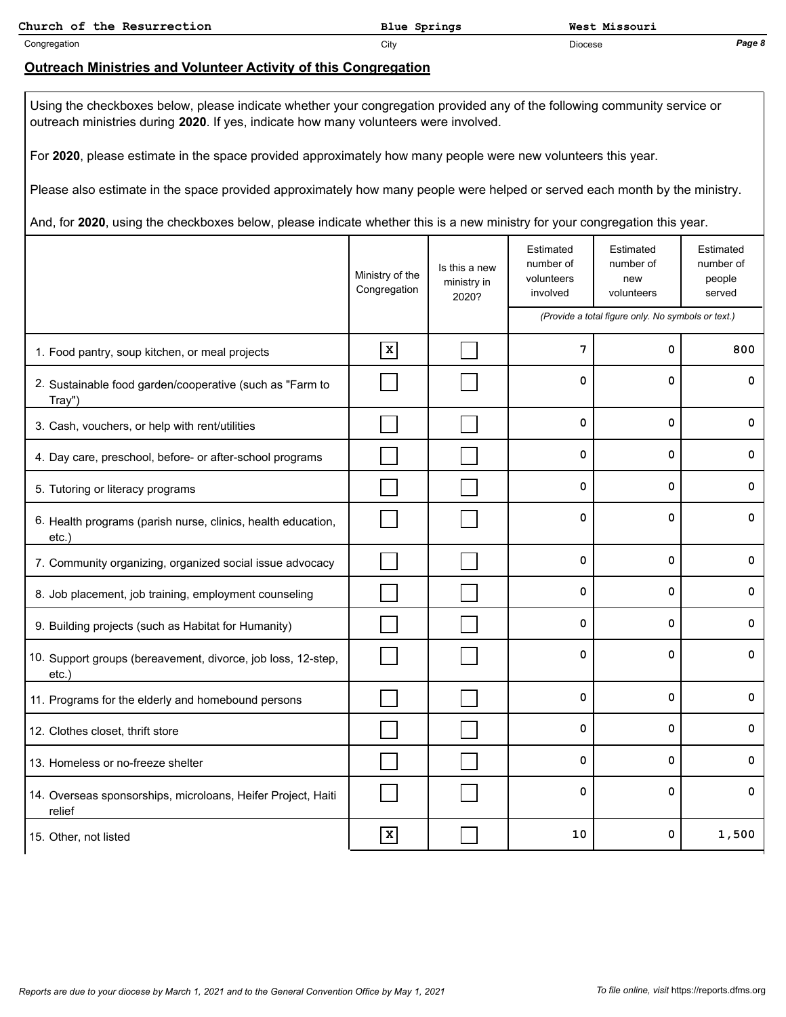**Church of the Resurrection Blue Springs West Missouri**

Congregation City Diocese *Page 8*

### **Outreach Ministries and Volunteer Activity of this Congregation**

Using the checkboxes below, please indicate whether your congregation provided any of the following community service or outreach ministries during **2020**. If yes, indicate how many volunteers were involved.

For **2020**, please estimate in the space provided approximately how many people were new volunteers this year.

Please also estimate in the space provided approximately how many people were helped or served each month by the ministry.

And, for **2020**, using the checkboxes below, please indicate whether this is a new ministry for your congregation this year.

|                                                                          | Ministry of the<br>Congregation | Is this a new<br>ministry in<br>2020? | Estimated<br>number of<br>volunteers<br>involved | Estimated<br>number of<br>new<br>volunteers        | Estimated<br>number of<br>people<br>served |
|--------------------------------------------------------------------------|---------------------------------|---------------------------------------|--------------------------------------------------|----------------------------------------------------|--------------------------------------------|
|                                                                          |                                 |                                       |                                                  | (Provide a total figure only. No symbols or text.) |                                            |
| 1. Food pantry, soup kitchen, or meal projects                           | $\mathbf x$                     |                                       | 7                                                | 0                                                  | 800                                        |
| 2. Sustainable food garden/cooperative (such as "Farm to<br>Tray")       |                                 |                                       | 0                                                | $\mathbf 0$                                        | 0                                          |
| 3. Cash, vouchers, or help with rent/utilities                           |                                 |                                       | $\mathbf 0$                                      | $\mathbf 0$                                        | 0                                          |
| 4. Day care, preschool, before- or after-school programs                 |                                 |                                       | $\mathbf 0$                                      | 0                                                  | 0                                          |
| 5. Tutoring or literacy programs                                         |                                 |                                       | 0                                                | 0                                                  | 0                                          |
| 6. Health programs (parish nurse, clinics, health education,<br>etc.     |                                 |                                       | $\mathbf 0$                                      | $\mathbf 0$                                        | 0                                          |
| 7. Community organizing, organized social issue advocacy                 |                                 |                                       | $\mathbf 0$                                      | $\mathbf 0$                                        | 0                                          |
| 8. Job placement, job training, employment counseling                    |                                 |                                       | $\mathbf 0$                                      | $\mathbf 0$                                        | 0                                          |
| 9. Building projects (such as Habitat for Humanity)                      |                                 |                                       | 0                                                | 0                                                  | 0                                          |
| 10. Support groups (bereavement, divorce, job loss, 12-step,<br>$etc.$ ) |                                 |                                       | $\Omega$                                         | $\mathbf 0$                                        | $\mathbf 0$                                |
| 11. Programs for the elderly and homebound persons                       |                                 |                                       | $\mathbf 0$                                      | $\mathbf 0$                                        | 0                                          |
| 12. Clothes closet, thrift store                                         |                                 |                                       | $\mathbf 0$                                      | 0                                                  | 0                                          |
| 13. Homeless or no-freeze shelter                                        |                                 |                                       | $\mathbf 0$                                      | $\mathbf 0$                                        | $\mathbf 0$                                |
| 14. Overseas sponsorships, microloans, Heifer Project, Haiti<br>relief   |                                 |                                       | $\mathbf 0$                                      | 0                                                  | $\mathbf 0$                                |
| 15. Other, not listed                                                    | $\mathbf x$                     |                                       | 10                                               | $\mathbf 0$                                        | 1,500                                      |